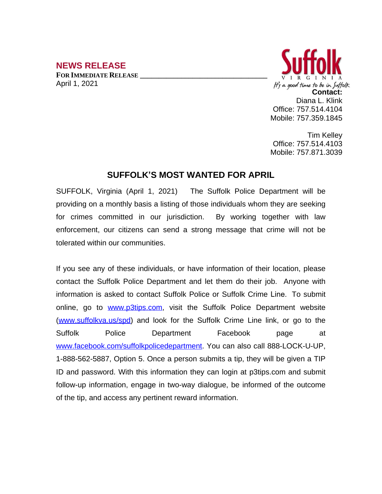## **NEWS RELEASE**

**FOR IMMEDIATE RELEASE \_\_\_\_\_\_\_\_\_\_\_\_\_\_\_\_\_\_\_\_\_\_\_\_\_\_\_\_\_\_\_\_\_\_** April 1, 2021



Tim Kelley Office: 757.514.4103 Mobile: 757.871.3039

## **SUFFOLK'S MOST WANTED FOR APRIL**

SUFFOLK, Virginia (April 1, 2021) The Suffolk Police Department will be providing on a monthly basis a listing of those individuals whom they are seeking for crimes committed in our jurisdiction. By working together with law enforcement, our citizens can send a strong message that crime will not be tolerated within our communities.

If you see any of these individuals, or have information of their location, please contact the Suffolk Police Department and let them do their job. Anyone with information is asked to contact Suffolk Police or Suffolk Crime Line. To submit online, go to [www.p3tips.com](http://www.p3tips.com), visit the Suffolk Police Department website ([www.suffolkva.us/spd](http://www.suffolkva.us/spd)) and look for the Suffolk Crime Line link, or go to the Suffolk Police Department Facebook page at [www.facebook.com/suffolkpolicedepartment](http://www.facebook.com/suffolkpolicedepartment). You can also call 888-LOCK-U-UP, 1-888-562-5887, Option 5. Once a person submits a tip, they will be given a TIP ID and password. With this information they can login at p3tips.com and submit follow-up information, engage in two-way dialogue, be informed of the outcome of the tip, and access any pertinent reward information.